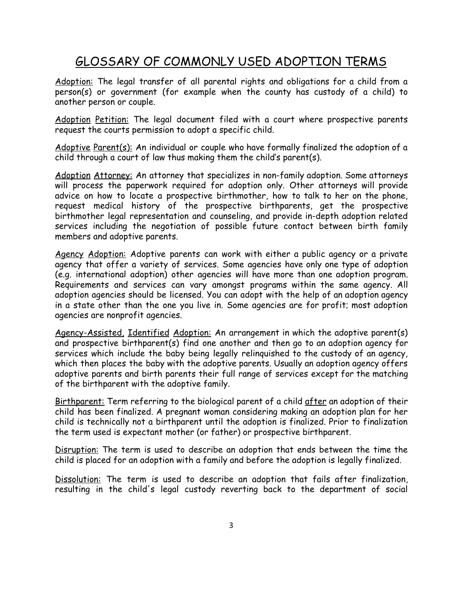## GLOSSARY OF COMMONLY USED ADOPTION TERMS

Adoption: The legal transfer of all parental rights and obligations for a child from a person(s) or government (for example when the county has custody of a child) to another person or couple.

Adoption Petition: The legal document filed with a court where prospective parents request the courts permission to adopt a specific child.

Adoptive Parent(s): An individual or couple who have formally finalized the adoption of a child through a court of law thus making them the child's parent(s).

Adoption Attorney: An attorney that specializes in non-family adoption. Some attorneys will process the paperwork required for adoption only. Other attorneys will provide advice on how to locate a prospective birthmother, how to talk to her on the phone, request medical history of the prospective birthparents, get the prospective birthmother legal representation and counseling, and provide in-depth adoption related services including the negotiation of possible future contact between birth family members and adoptive parents.

Agency Adoption: Adoptive parents can work with either a public agency or a private agency that offer a variety of services. Some agencies have only one type of adoption (e.g. international adoption) other agencies will have more than one adoption program. Requirements and services can vary amongst programs within the same agency. All adoption agencies should be licensed. You can adopt with the help of an adoption agency in a state other than the one you live in. Some agencies are for profit; most adoption agencies are nonprofit agencies.

Agency-Assisted, Identified Adoption: An arrangement in which the adoptive parent(s) and prospective birthparent(s) find one another and then go to an adoption agency for services which include the baby being legally relinquished to the custody of an agency, which then places the baby with the adoptive parents. Usually an adoption agency offers adoptive parents and birth parents their full range of services except for the matching of the birthparent with the adoptive family.

Birthparent: Term referring to the biological parent of a child after an adoption of their child has been finalized. A pregnant woman considering making an adoption plan for her child is technically not a birthparent until the adoption is finalized. Prior to finalization the term used is expectant mother (or father) or prospective birthparent.

Disruption: The term is used to describe an adoption that ends between the time the child is placed for an adoption with a family and before the adoption is legally finalized.

Dissolution: The term is used to describe an adoption that fails after finalization, resulting in the child's legal custody reverting back to the department of social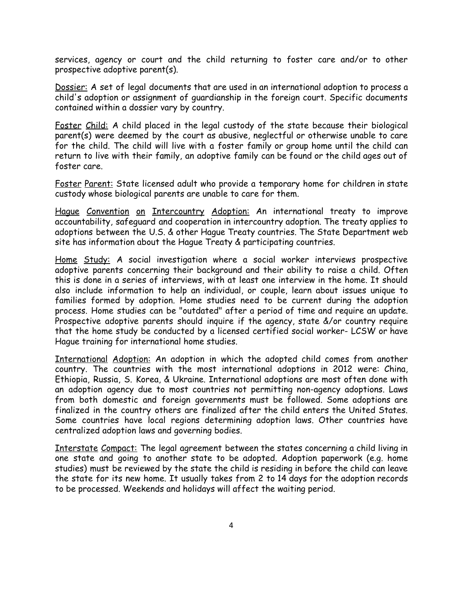services, agency or court and the child returning to foster care and/or to other prospective adoptive parent(s).

Dossier: A set of legal documents that are used in an international adoption to process a child's adoption or assignment of guardianship in the foreign court. Specific documents contained within a dossier vary by country.

Foster Child: A child placed in the legal custody of the state because their biological parent(s) were deemed by the court as abusive, neglectful or otherwise unable to care for the child. The child will live with a foster family or group home until the child can return to live with their family, an adoptive family can be found or the child ages out of foster care.

Foster Parent: State licensed adult who provide a temporary home for children in state custody whose biological parents are unable to care for them.

Hague Convention on Intercountry Adoption: An international treaty to improve accountability, safeguard and cooperation in intercountry adoption. The treaty applies to adoptions between the U.S. & other Hague Treaty countries. The State Department web site has information about the Hague Treaty & participating countries.

Home Study: A social investigation where a social worker interviews prospective adoptive parents concerning their background and their ability to raise a child. Often this is done in a series of interviews, with at least one interview in the home. It should also include information to help an individual, or couple, learn about issues unique to families formed by adoption. Home studies need to be current during the adoption process. Home studies can be "outdated" after a period of time and require an update. Prospective adoptive parents should inquire if the agency, state &/or country require that the home study be conducted by a licensed certified social worker- LCSW or have Hague training for international home studies.

International Adoption: An adoption in which the adopted child comes from another country. The countries with the most international adoptions in 2012 were: China, Ethiopia, Russia, S. Korea, & Ukraine. International adoptions are most often done with an adoption agency due to most countries not permitting non-agency adoptions. Laws from both domestic and foreign governments must be followed. Some adoptions are finalized in the country others are finalized after the child enters the United States. Some countries have local regions determining adoption laws. Other countries have centralized adoption laws and governing bodies.

Interstate Compact: The legal agreement between the states concerning a child living in one state and going to another state to be adopted. Adoption paperwork (e.g. home studies) must be reviewed by the state the child is residing in before the child can leave the state for its new home. It usually takes from 2 to 14 days for the adoption records to be processed. Weekends and holidays will affect the waiting period.